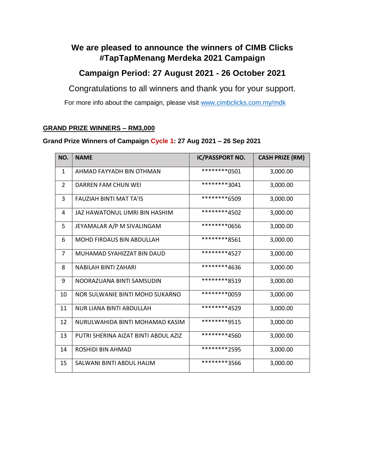## **We are pleased to announce the winners of CIMB Clicks #TapTapMenang Merdeka 2021 Campaign**

## **Campaign Period: 27 August 2021 - 26 October 2021**

Congratulations to all winners and thank you for your support.

For more info about the campaign, please visit [www.cimbclicks.com.my/mdk](http://www.cimbclicks.com.my/mdk)

#### **GRAND PRIZE WINNERS – RM3,000**

### **Grand Prize Winners of Campaign Cycle 1: 27 Aug 2021 – 26 Sep 2021**

| NO.            | <b>NAME</b>                          | <b>IC/PASSPORT NO.</b> | <b>CASH PRIZE (RM)</b> |
|----------------|--------------------------------------|------------------------|------------------------|
| $\mathbf{1}$   | AHMAD FAYYADH BIN OTHMAN             | *********0501          | 3,000.00               |
| $\overline{2}$ | DARREN FAM CHUN WEI                  | ********3041           | 3,000.00               |
| 3              | <b>FAUZIAH BINTI MAT TA'IS</b>       | ********6509           | 3,000.00               |
| 4              | JAZ HAWATONUL UMRI BIN HASHIM        | ********4502           | 3,000.00               |
| 5              | JEYAMALAR A/P M SIVALINGAM           | *********0656          | 3,000.00               |
| 6              | <b>MOHD FIRDAUS BIN ABDULLAH</b>     | ********8561           | 3,000.00               |
| $\overline{7}$ | MUHAMAD SYAHIZZAT BIN DAUD           | ********4527           | 3,000.00               |
| 8              | NABILAH BINTI ZAHARI                 | ********4636           | 3,000.00               |
| 9              | NOORAZUANA BINTI SAMSUDIN            | ********8519           | 3,000.00               |
| 10             | NOR SULWANIE BINTI MOHD SUKARNO      | ********0059           | 3,000.00               |
| 11             | NUR LIANA BINTI ABDULLAH             | ********4529           | 3,000.00               |
| 12             | NURULWAHIDA BINTI MOHAMAD KASIM      | ********9515           | 3,000.00               |
| 13             | PUTRI SHERINA AIZAT BINTI ABDUL AZIZ | ********4560           | 3,000.00               |
| 14             | ROSHIDI BIN AHMAD                    | ********2595           | 3,000.00               |
| 15             | SALWANI BINTI ABDUL HALIM            | ********3566           | 3,000.00               |